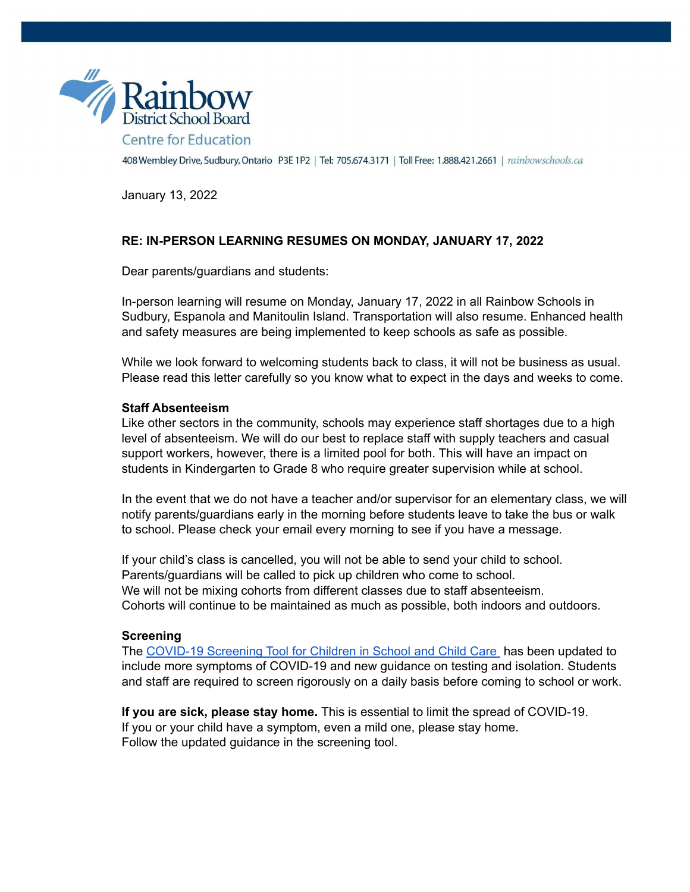

January 13, 2022

# **RE: IN-PERSON LEARNING RESUMES ON MONDAY, JANUARY 17, 2022**

Dear parents/guardians and students:

In-person learning will resume on Monday, January 17, 2022 in all Rainbow Schools in Sudbury, Espanola and Manitoulin Island. Transportation will also resume. Enhanced health and safety measures are being implemented to keep schools as safe as possible.

While we look forward to welcoming students back to class, it will not be business as usual. Please read this letter carefully so you know what to expect in the days and weeks to come.

### **Staff Absenteeism**

Like other sectors in the community, schools may experience staff shortages due to a high level of absenteeism. We will do our best to replace staff with supply teachers and casual support workers, however, there is a limited pool for both. This will have an impact on students in Kindergarten to Grade 8 who require greater supervision while at school.

In the event that we do not have a teacher and/or supervisor for an elementary class, we will notify parents/guardians early in the morning before students leave to take the bus or walk to school. Please check your email every morning to see if you have a message.

If your child's class is cancelled, you will not be able to send your child to school. Parents/guardians will be called to pick up children who come to school. We will not be mixing cohorts from different classes due to staff absenteeism. Cohorts will continue to be maintained as much as possible, both indoors and outdoors.

### **Screening**

The COVID-19 Screening Tool for Children in School and Child Care has been updated to include more symptoms of COVID-19 and new guidance on testing and isolation. Students and staff are required to screen rigorously on a daily basis before coming to school or work.

**If you are sick, please stay home.** This is essential to limit the spread of COVID-19. If you or your child have a symptom, even a mild one, please stay home. Follow the updated guidance in the screening tool.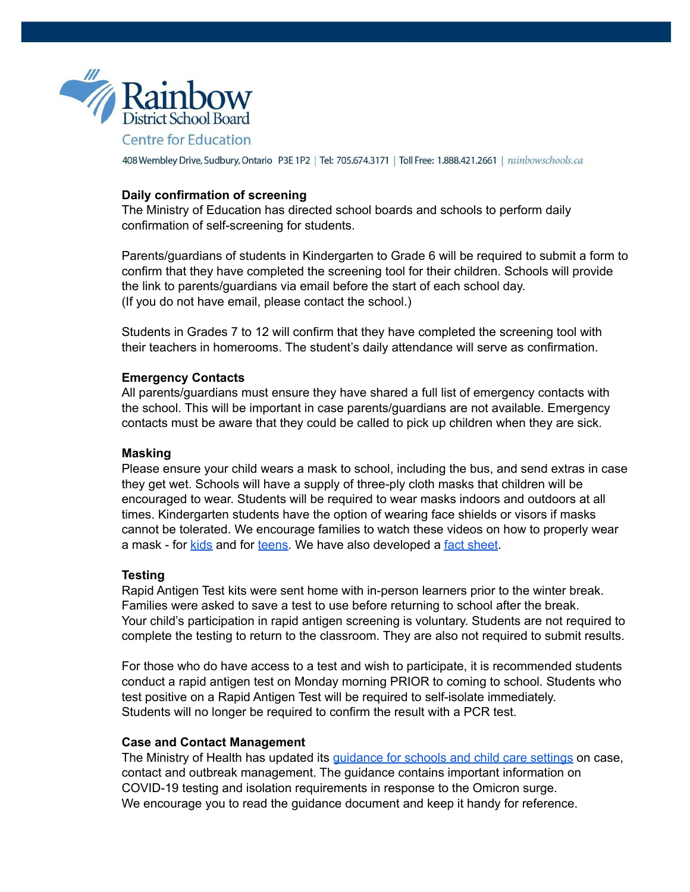

## **Daily confirmation of screening**

The Ministry of Education has directed school boards and schools to perform daily confirmation of self-screening for students.

Parents/guardians of students in Kindergarten to Grade 6 will be required to submit a form to confirm that they have completed the screening tool for their children. Schools will provide the link to parents/guardians via email before the start of each school day. (If you do not have email, please contact the school.)

Students in Grades 7 to 12 will confirm that they have completed the screening tool with their teachers in homerooms. The student's daily attendance will serve as confirmation.

### **Emergency Contacts**

All parents/guardians must ensure they have shared a full list of emergency contacts with the school. This will be important in case parents/guardians are not available. Emergency contacts must be aware that they could be called to pick up children when they are sick.

### **Masking**

Please ensure your child wears a mask to school, including the bus, and send extras in case they get wet. Schools will have a supply of three-ply cloth masks that children will be encouraged to wear. Students will be required to wear masks indoors and outdoors at all times. Kindergarten students have the option of wearing face shields or visors if masks cannot be tolerated. We encourage families to watch these videos on how to properly wear a mask - for kids and for teens. We have also developed a fact sheet.

### **Testing**

Rapid Antigen Test kits were sent home with in-person learners prior to the winter break. Families were asked to save a test to use before returning to school after the break. Your child's participation in rapid antigen screening is voluntary. Students are not required to complete the testing to return to the classroom. They are also not required to submit results.

For those who do have access to a test and wish to participate, it is recommended students conduct a rapid antigen test on Monday morning PRIOR to coming to school. Students who test positive on a Rapid Antigen Test will be required to self-isolate immediately. Students will no longer be required to confirm the result with a PCR test.

### **Case and Contact Management**

The Ministry of Health has updated its quidance for schools and child care settings on case, contact and outbreak management. The guidance contains important information on COVID-19 testing and isolation requirements in response to the Omicron surge. We encourage you to read the guidance document and keep it handy for reference.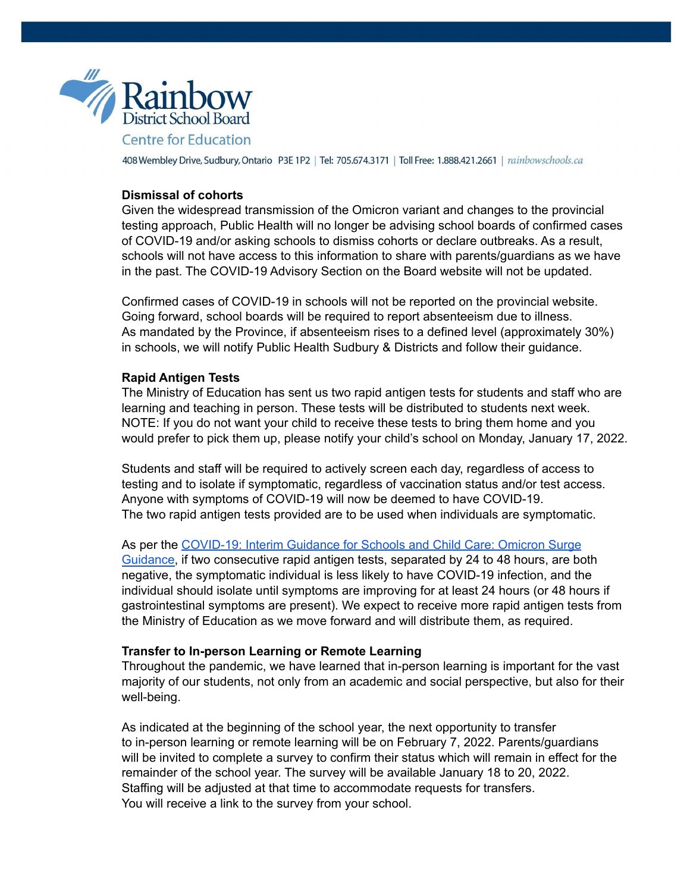

## **Dismissal of cohorts**

Given the widespread transmission of the Omicron variant and changes to the provincial testing approach, Public Health will no longer be advising school boards of confirmed cases of COVID-19 and/or asking schools to dismiss cohorts or declare outbreaks. As a result, schools will not have access to this information to share with parents/guardians as we have in the past. The COVID-19 Advisory Section on the Board website will not be updated.

Confirmed cases of COVID-19 in schools will not be reported on the provincial website. Going forward, school boards will be required to report absenteeism due to illness. As mandated by the Province, if absenteeism rises to a defined level (approximately 30%) in schools, we will notify Public Health Sudbury & Districts and follow their guidance.

### **Rapid Antigen Tests**

The Ministry of Education has sent us two rapid antigen tests for students and staff who are learning and teaching in person. These tests will be distributed to students next week. NOTE: If you do not want your child to receive these tests to bring them home and you would prefer to pick them up, please notify your child's school on Monday, January 17, 2022.

Students and staff will be required to actively screen each day, regardless of access to testing and to isolate if symptomatic, regardless of vaccination status and/or test access. Anyone with symptoms of COVID-19 will now be deemed to have COVID-19. The two rapid antigen tests provided are to be used when individuals are symptomatic.

As per the COVID-19: Interim Guidance for Schools and Child Care: Omicron Surge Guidance, if two consecutive rapid antigen tests, separated by 24 to 48 hours, are both negative, the symptomatic individual is less likely to have COVID-19 infection, and the individual should isolate until symptoms are improving for at least 24 hours (or 48 hours if gastrointestinal symptoms are present). We expect to receive more rapid antigen tests from the Ministry of Education as we move forward and will distribute them, as required.

#### **Transfer to In-person Learning or Remote Learning**

Throughout the pandemic, we have learned that in-person learning is important for the vast majority of our students, not only from an academic and social perspective, but also for their well-being.

As indicated at the beginning of the school year, the next opportunity to transfer to in-person learning or remote learning will be on February 7, 2022. Parents/guardians will be invited to complete a survey to confirm their status which will remain in effect for the remainder of the school year. The survey will be available January 18 to 20, 2022. Staffing will be adjusted at that time to accommodate requests for transfers. You will receive a link to the survey from your school.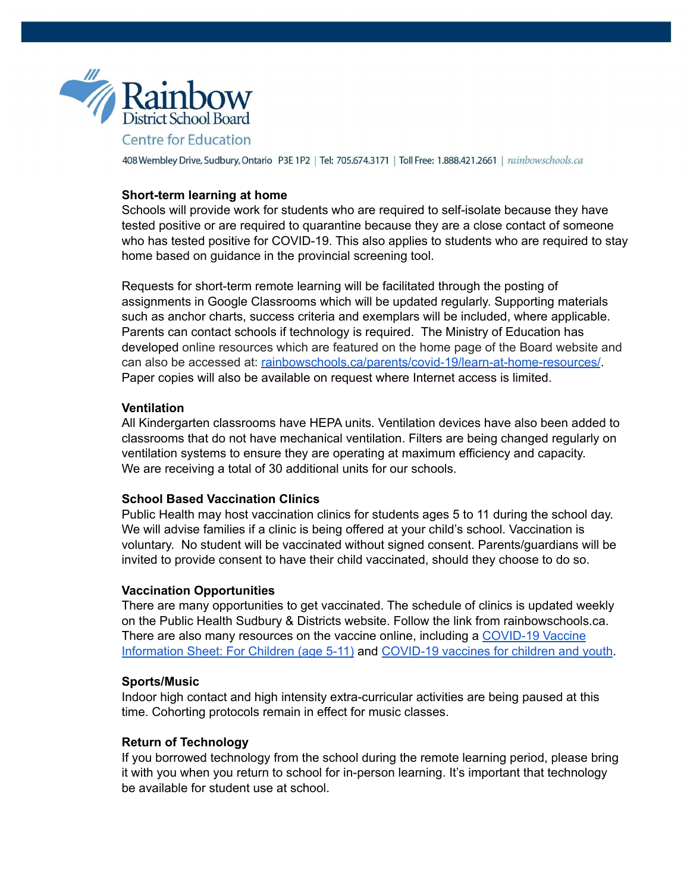

### **Short-term learning at home**

Schools will provide work for students who are required to self-isolate because they have tested positive or are required to quarantine because they are a close contact of someone who has tested positive for COVID-19. This also applies to students who are required to stay home based on guidance in the provincial screening tool.

Requests for short-term remote learning will be facilitated through the posting of assignments in Google Classrooms which will be updated regularly. Supporting materials such as anchor charts, success criteria and exemplars will be included, where applicable. Parents can contact schools if technology is required. The Ministry of Education has developed online resources which are featured on the home page of the Board website and can also be accessed at: rainbowschools.ca/parents/covid-19/learn-at-home-resources/. Paper copies will also be available on request where Internet access is limited.

### **Ventilation**

All Kindergarten classrooms have HEPA units. Ventilation devices have also been added to classrooms that do not have mechanical ventilation. Filters are being changed regularly on ventilation systems to ensure they are operating at maximum efficiency and capacity. We are receiving a total of 30 additional units for our schools.

## **School Based Vaccination Clinics**

Public Health may host vaccination clinics for students ages 5 to 11 during the school day. We will advise families if a clinic is being offered at your child's school. Vaccination is voluntary. No student will be vaccinated without signed consent. Parents/guardians will be invited to provide consent to have their child vaccinated, should they choose to do so.

### **Vaccination Opportunities**

There are many opportunities to get vaccinated. The schedule of clinics is updated weekly on the Public Health Sudbury & Districts website. Follow the link from rainbowschools.ca. There are also many resources on the vaccine online, including a COVID-19 Vaccine Information Sheet: For Children (age 5-11) and COVID-19 vaccines for children and youth.

#### **Sports/Music**

Indoor high contact and high intensity extra-curricular activities are being paused at this time. Cohorting protocols remain in effect for music classes.

### **Return of Technology**

If you borrowed technology from the school during the remote learning period, please bring it with you when you return to school for in-person learning. It's important that technology be available for student use at school.